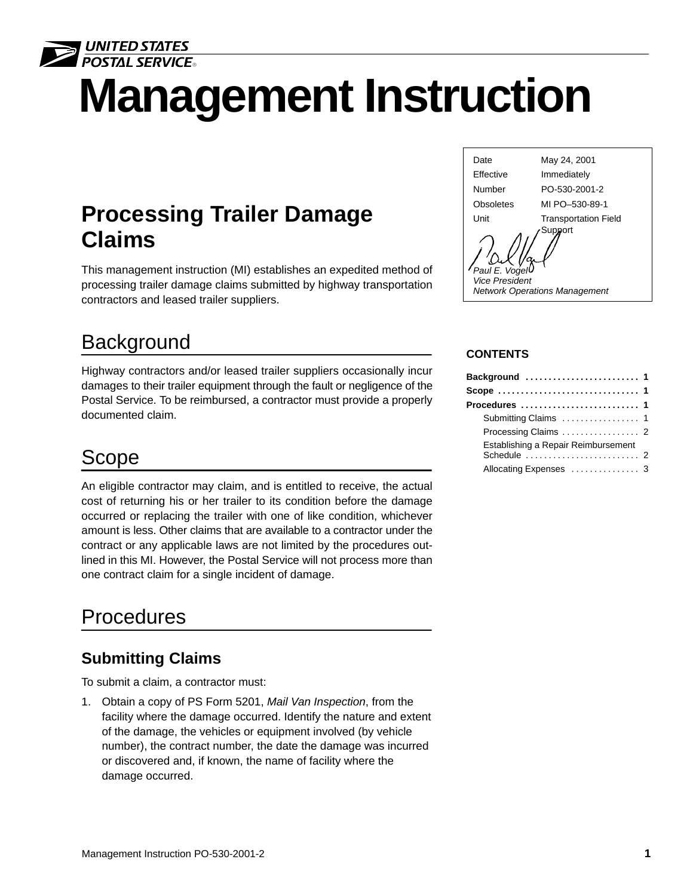

# **Management Instruction** 2

# **Processing Trailer Damage Claims**

This management instruction (MI) establishes an expedited method of processing trailer damage claims submitted by highway transportation contractors and leased trailer suppliers.

# **Background**

Highway contractors and/or leased trailer suppliers occasionally incur damages to their trailer equipment through the fault or negligence of the Postal Service. To be reimbursed, a contractor must provide a properly documented claim.

## Scope

An eligible contractor may claim, and is entitled to receive, the actual cost of returning his or her trailer to its condition before the damage occurred or replacing the trailer with one of like condition, whichever amount is less. Other claims that are available to a contractor under the contract or any applicable laws are not limited by the procedures outlined in this MI. However, the Postal Service will not process more than one contract claim for a single incident of damage.

# Procedures

## **Submitting Claims**

To submit a claim, a contractor must:

1. Obtain a copy of PS Form 5201, Mail Van Inspection, from the facility where the damage occurred. Identify the nature and extent of the damage, the vehicles or equipment involved (by vehicle number), the contract number, the date the damage was incurred or discovered and, if known, the name of facility where the damage occurred.



#### **CONTENTS**

| Background  1                       |  |
|-------------------------------------|--|
|                                     |  |
| Procedures  1                       |  |
|                                     |  |
|                                     |  |
| Establishing a Repair Reimbursement |  |
| Allocating Expenses  3              |  |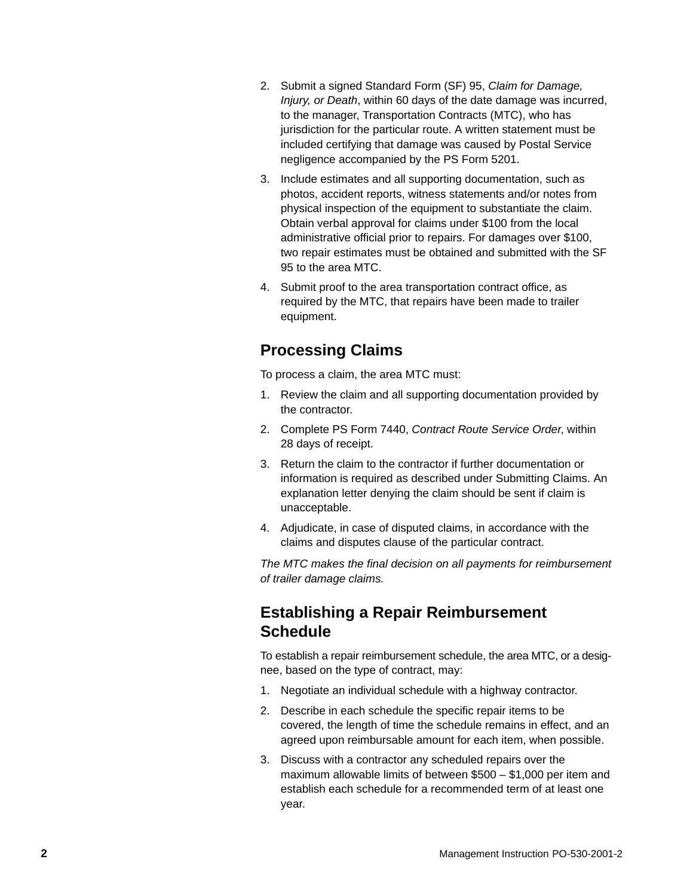- 2. Submit a signed Standard Form (SF) 95, Claim for Damage, Injury, or Death, within 60 days of the date damage was incurred, to the manager, Transportation Contracts (MTC), who has jurisdiction for the particular route. A written statement must be included certifying that damage was caused by Postal Service negligence accompanied by the PS Form 5201.
- 3. Include estimates and all supporting documentation, such as photos, accident reports, witness statements and/or notes from physical inspection of the equipment to substantiate the claim. Obtain verbal approval for claims under \$100 from the local administrative official prior to repairs. For damages over \$100, two repair estimates must be obtained and submitted with the SF 95 to the area MTC.
- 4. Submit proof to the area transportation contract office, as required by the MTC, that repairs have been made to trailer equipment.

## **Processing Claims**

To process a claim, the area MTC must:

- 1. Review the claim and all supporting documentation provided by the contractor.
- 2. Complete PS Form 7440, Contract Route Service Order, within 28 days of receipt.
- 3. Return the claim to the contractor if further documentation or information is required as described under Submitting Claims. An explanation letter denying the claim should be sent if claim is unacceptable.
- 4. Adjudicate, in case of disputed claims, in accordance with the claims and disputes clause of the particular contract.

The MTC makes the final decision on all payments for reimbursement of trailer damage claims.

## **Establishing a Repair Reimbursement Schedule**

To establish a repair reimbursement schedule, the area MTC, or a designee, based on the type of contract, may:

- 1. Negotiate an individual schedule with a highway contractor.
- 2. Describe in each schedule the specific repair items to be covered, the length of time the schedule remains in effect, and an agreed upon reimbursable amount for each item, when possible.
- 3. Discuss with a contractor any scheduled repairs over the maximum allowable limits of between \$500 – \$1,000 per item and establish each schedule for a recommended term of at least one year.